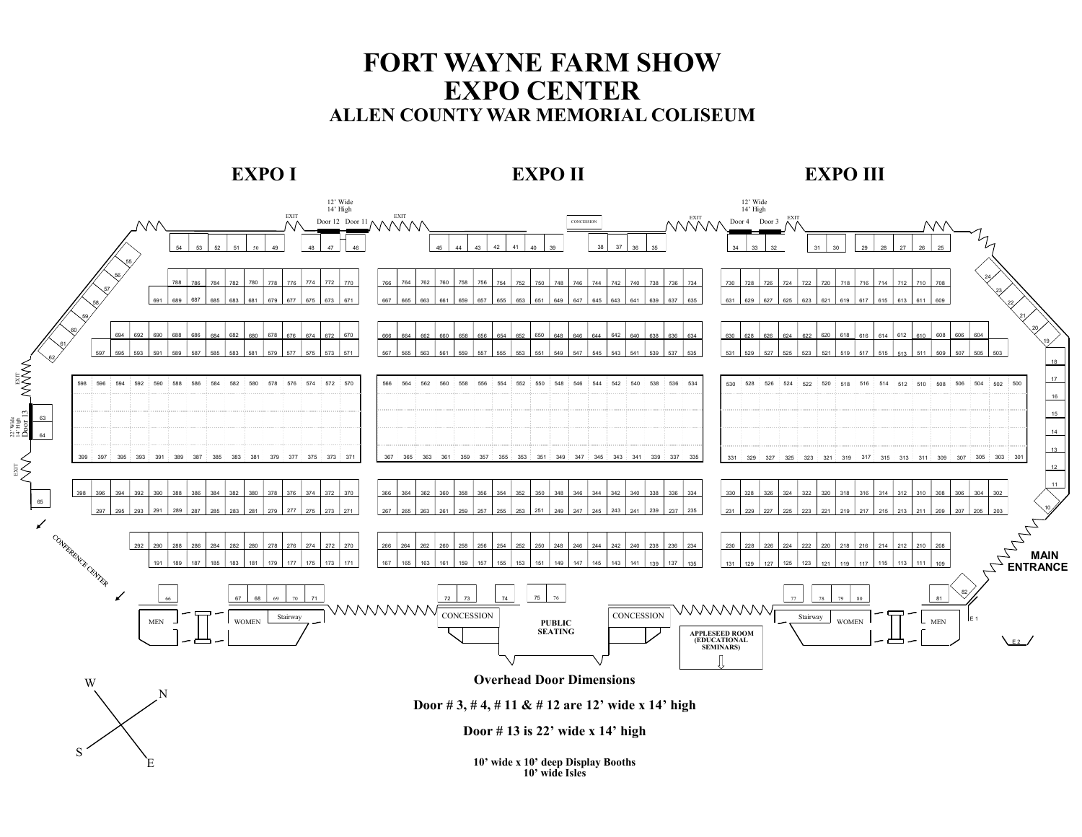## **FORT WAYNE FARM SHOW EXPO CENTER ALLEN COUNTY WAR MEMORIAL COLISEUM**



**Door # 13 is 22' wide x 14' high**

S

E

**10' wide x 10' deep Display Booths 10' wide Isles**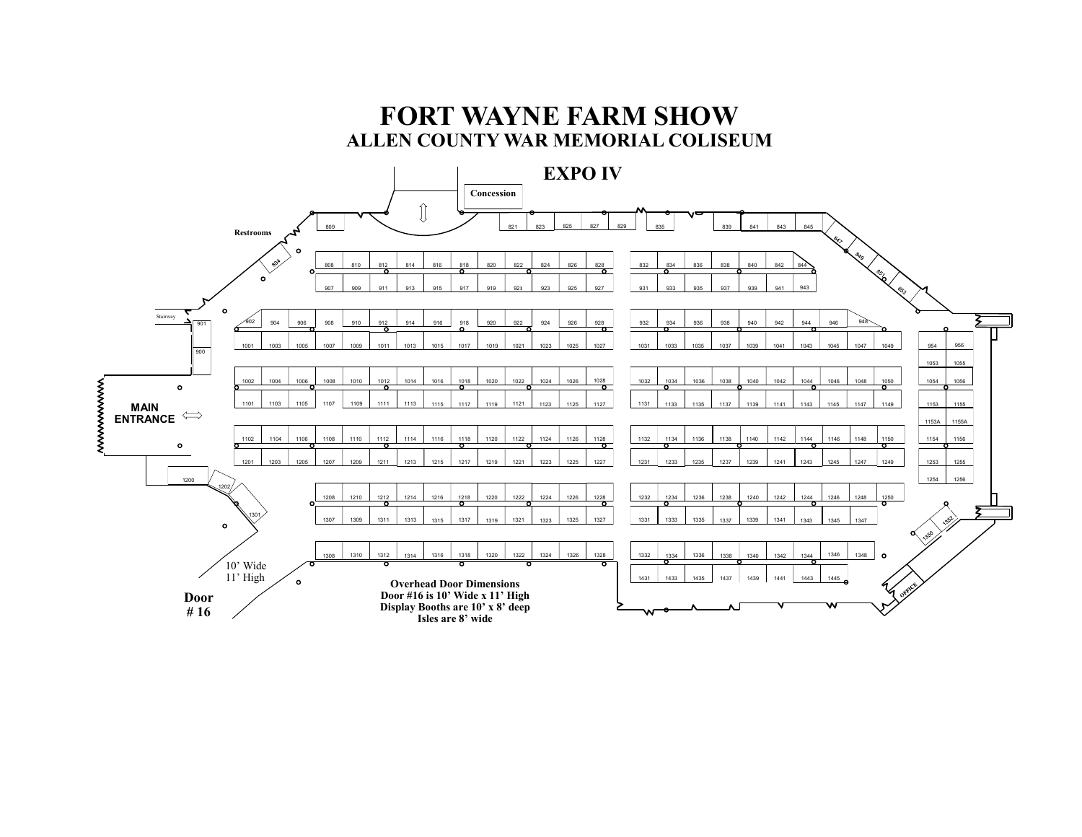## **FORT WAYNE FARM SHOW ALLEN COUNTY WAR MEMORIAL COLISEUM**